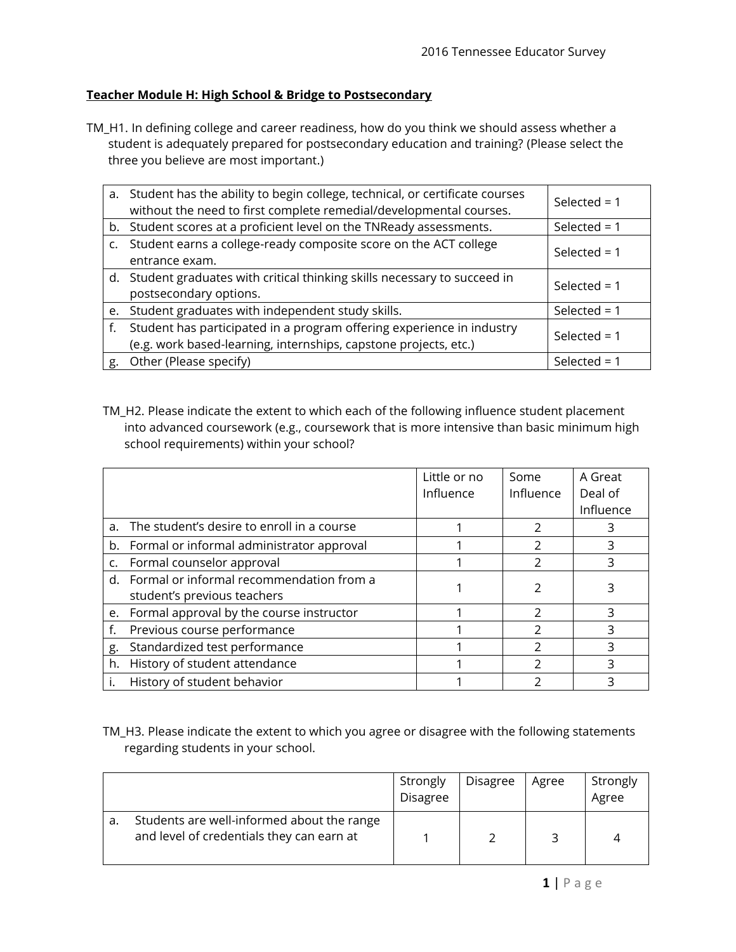## **Teacher Module H: High School & Bridge to Postsecondary**

TM\_H1. In defining college and career readiness, how do you think we should assess whether a student is adequately prepared for postsecondary education and training? (Please select the three you believe are most important.)

|    | a. Student has the ability to begin college, technical, or certificate courses<br>without the need to first complete remedial/developmental courses. | Selected = $1$ |
|----|------------------------------------------------------------------------------------------------------------------------------------------------------|----------------|
|    | b. Student scores at a proficient level on the TNReady assessments.                                                                                  | Selected = $1$ |
|    | c. Student earns a college-ready composite score on the ACT college<br>entrance exam.                                                                | Selected = $1$ |
|    | d. Student graduates with critical thinking skills necessary to succeed in<br>postsecondary options.                                                 | Selected = $1$ |
|    | e. Student graduates with independent study skills.                                                                                                  | Selected = $1$ |
|    | f. Student has participated in a program offering experience in industry<br>(e.g. work based-learning, internships, capstone projects, etc.)         | Selected = $1$ |
| g. | Other (Please specify)                                                                                                                               | Selected = $1$ |

TM\_H2. Please indicate the extent to which each of the following influence student placement into advanced coursework (e.g., coursework that is more intensive than basic minimum high school requirements) within your school?

|    |                                               | Little or no | Some          | A Great   |
|----|-----------------------------------------------|--------------|---------------|-----------|
|    |                                               | Influence    | Influence     | Deal of   |
|    |                                               |              |               | Influence |
|    | a. The student's desire to enroll in a course |              |               | 3         |
|    | b. Formal or informal administrator approval  |              | $\mathcal{P}$ | ς         |
|    | c. Formal counselor approval                  |              | $\mathcal{P}$ | 3         |
|    | d. Formal or informal recommendation from a   |              |               |           |
|    | student's previous teachers                   |              |               |           |
|    | e. Formal approval by the course instructor   |              | າ             |           |
|    | Previous course performance                   |              | $\mathcal{D}$ | ς         |
| g. | Standardized test performance                 |              | フ             | 3         |
| h. | History of student attendance                 |              | $\mathcal{P}$ | 3         |
|    | History of student behavior                   |              |               | 3         |

## TM\_H3. Please indicate the extent to which you agree or disagree with the following statements regarding students in your school.

|    |                                                                                         | Strongly<br>Disagree | <b>Disagree</b> | Agree | Strongly<br>Agree |
|----|-----------------------------------------------------------------------------------------|----------------------|-----------------|-------|-------------------|
| a. | Students are well-informed about the range<br>and level of credentials they can earn at |                      |                 |       |                   |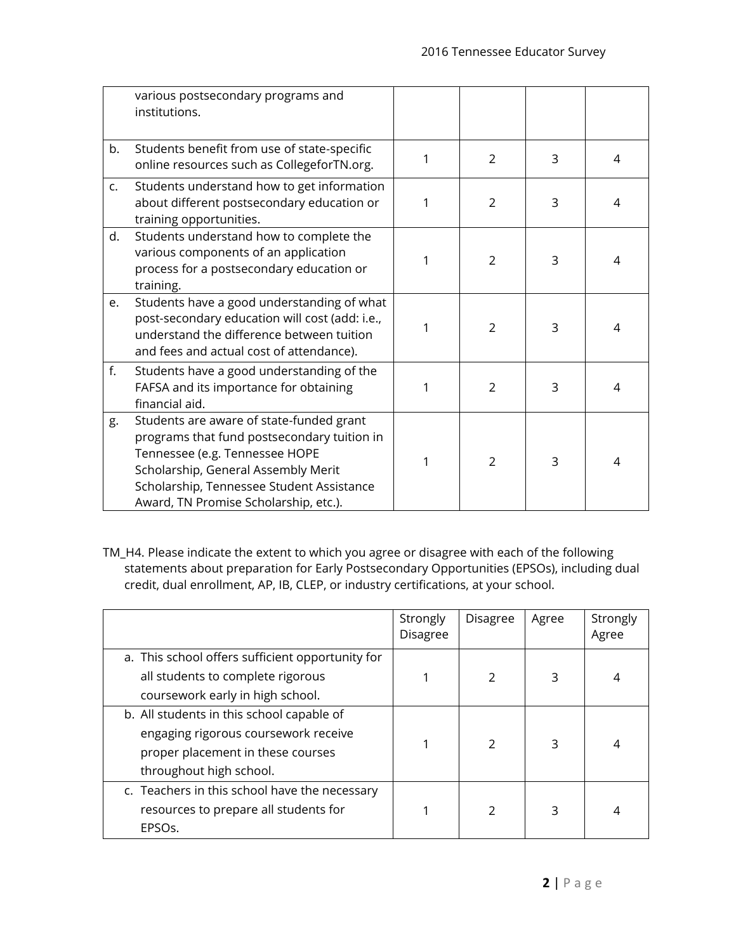|    | various postsecondary programs and<br>institutions.                                                                                                                                                                                                    |   |                |   |   |
|----|--------------------------------------------------------------------------------------------------------------------------------------------------------------------------------------------------------------------------------------------------------|---|----------------|---|---|
| b. | Students benefit from use of state-specific<br>online resources such as CollegeforTN.org.                                                                                                                                                              | 1 | 2              | 3 | 4 |
| c. | Students understand how to get information<br>about different postsecondary education or<br>training opportunities.                                                                                                                                    | 1 | $\mathcal{P}$  | 3 | 4 |
| d. | Students understand how to complete the<br>various components of an application<br>process for a postsecondary education or<br>training.                                                                                                               | 1 | 2              | 3 | 4 |
| e. | Students have a good understanding of what<br>post-secondary education will cost (add: i.e.,<br>understand the difference between tuition<br>and fees and actual cost of attendance).                                                                  | 1 | $\overline{2}$ | 3 | 4 |
| f. | Students have a good understanding of the<br>FAFSA and its importance for obtaining<br>financial aid.                                                                                                                                                  | 1 | $\overline{2}$ | 3 | 4 |
| g. | Students are aware of state-funded grant<br>programs that fund postsecondary tuition in<br>Tennessee (e.g. Tennessee HOPE<br>Scholarship, General Assembly Merit<br>Scholarship, Tennessee Student Assistance<br>Award, TN Promise Scholarship, etc.). | 1 | 2              | 3 | 4 |

TM\_H4. Please indicate the extent to which you agree or disagree with each of the following statements about preparation for Early Postsecondary Opportunities (EPSOs), including dual credit, dual enrollment, AP, IB, CLEP, or industry certifications, at your school.

|                                                  | Strongly<br><b>Disagree</b> | <b>Disagree</b> | Agree | Strongly<br>Agree |
|--------------------------------------------------|-----------------------------|-----------------|-------|-------------------|
| a. This school offers sufficient opportunity for |                             |                 |       |                   |
| all students to complete rigorous                |                             | 2               | 3     | 4                 |
| coursework early in high school.                 |                             |                 |       |                   |
| b. All students in this school capable of        |                             |                 |       |                   |
| engaging rigorous coursework receive             |                             | $\mathcal{P}$   |       |                   |
| proper placement in these courses                |                             |                 | 3     | 4                 |
| throughout high school.                          |                             |                 |       |                   |
| c. Teachers in this school have the necessary    |                             |                 |       |                   |
| resources to prepare all students for            |                             | $\mathcal{P}$   | 3     | 4                 |
| EPSOs.                                           |                             |                 |       |                   |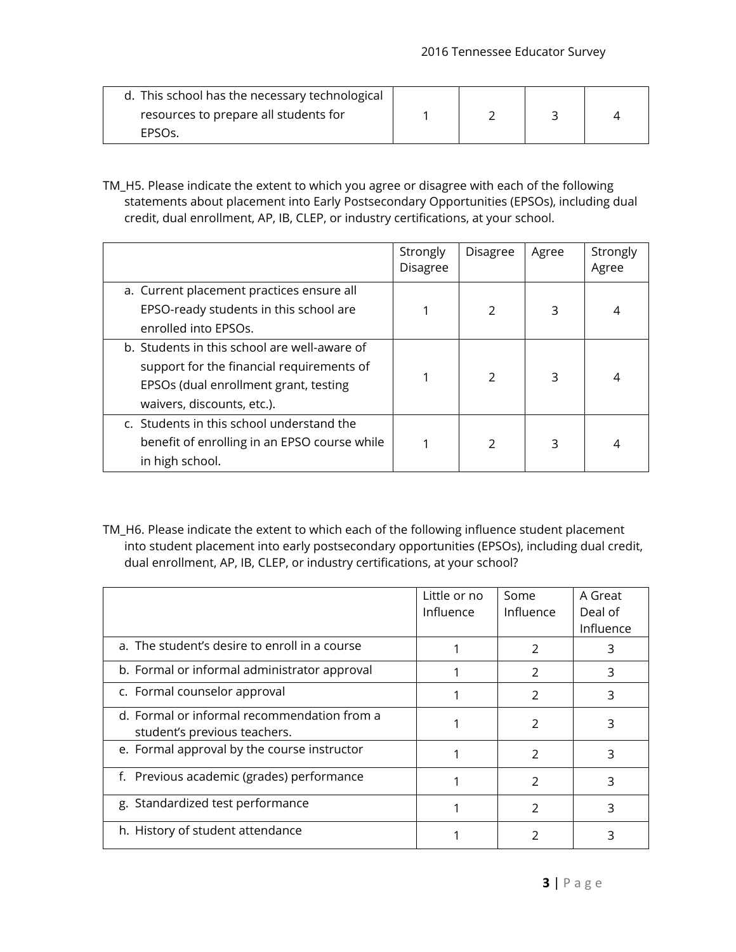| d. This school has the necessary technological |  |  |
|------------------------------------------------|--|--|
| resources to prepare all students for          |  |  |
| EPSO <sub>S</sub>                              |  |  |

TM\_H5. Please indicate the extent to which you agree or disagree with each of the following statements about placement into Early Postsecondary Opportunities (EPSOs), including dual credit, dual enrollment, AP, IB, CLEP, or industry certifications, at your school.

|                                                                                                                                                                  | Strongly<br>Disagree | <b>Disagree</b> | Agree | Strongly<br>Agree |
|------------------------------------------------------------------------------------------------------------------------------------------------------------------|----------------------|-----------------|-------|-------------------|
| a. Current placement practices ensure all<br>EPSO-ready students in this school are<br>enrolled into EPSOs.                                                      |                      | $\mathcal{P}$   | 3     | 4                 |
| b. Students in this school are well-aware of<br>support for the financial requirements of<br>EPSOs (dual enrollment grant, testing<br>waivers, discounts, etc.). |                      | $\mathcal{P}$   | 3     | 4                 |
| c. Students in this school understand the<br>benefit of enrolling in an EPSO course while<br>in high school.                                                     |                      | $\mathcal{P}$   | 3     | 4                 |

TM\_H6. Please indicate the extent to which each of the following influence student placement into student placement into early postsecondary opportunities (EPSOs), including dual credit, dual enrollment, AP, IB, CLEP, or industry certifications, at your school?

|                                                                             | Little or no<br>Influence | Some<br>Influence | A Great<br>Deal of<br>Influence |
|-----------------------------------------------------------------------------|---------------------------|-------------------|---------------------------------|
| a. The student's desire to enroll in a course                               |                           | 2                 | 3                               |
| b. Formal or informal administrator approval                                |                           | 2                 | 3                               |
| c. Formal counselor approval                                                |                           | $\mathcal{P}$     | 3                               |
| d. Formal or informal recommendation from a<br>student's previous teachers. |                           | 2                 | 3                               |
| e. Formal approval by the course instructor                                 |                           | $\mathcal{P}$     | 3                               |
| f. Previous academic (grades) performance                                   |                           | 2                 | 3                               |
| g. Standardized test performance                                            |                           | 2                 | 3                               |
| h. History of student attendance                                            |                           |                   |                                 |